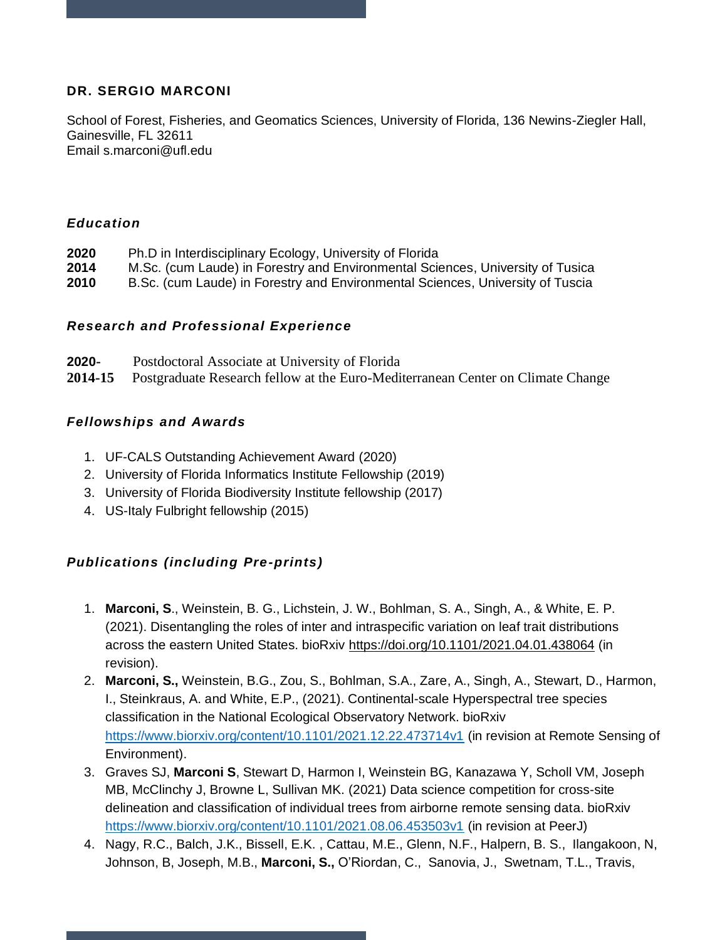# **DR. SERGIO MARCONI**

School of Forest, Fisheries, and Geomatics Sciences, University of Florida, 136 Newins-Ziegler Hall, Gainesville, FL 32611 Email s.marconi@ufl.edu

## *Education*

- **2020** Ph.D in Interdisciplinary Ecology, University of Florida
- **2014** M.Sc. (cum Laude) in Forestry and Environmental Sciences, University of Tusica
- **2010** B.Sc. (cum Laude) in Forestry and Environmental Sciences, University of Tuscia

## *Research and Professional Experience*

**2020-** Postdoctoral Associate at University of Florida **2014-15** Postgraduate Research fellow at the Euro-Mediterranean Center on Climate Change

## *Fellowships and Awards*

- 1. UF-CALS Outstanding Achievement Award (2020)
- 2. University of Florida Informatics Institute Fellowship (2019)
- 3. University of Florida Biodiversity Institute fellowship (2017)
- 4. US-Italy Fulbright fellowship (2015)

# *Publications (including Pre-prints)*

- 1. **Marconi, S**., Weinstein, B. G., Lichstein, J. W., Bohlman, S. A., Singh, A., & White, E. P. (2021). Disentangling the roles of inter and intraspecific variation on leaf trait distributions across the eastern United States. bioRxiv<https://doi.org/10.1101/2021.04.01.438064> (in revision).
- 2. **Marconi, S.,** Weinstein, B.G., Zou, S., Bohlman, S.A., Zare, A., Singh, A., Stewart, D., Harmon, I., Steinkraus, A. and White, E.P., (2021). Continental-scale Hyperspectral tree species classification in the National Ecological Observatory Network. bioRxiv <https://www.biorxiv.org/content/10.1101/2021.12.22.473714v1> (in revision at Remote Sensing of Environment).
- 3. Graves SJ, **Marconi S**, Stewart D, Harmon I, Weinstein BG, Kanazawa Y, Scholl VM, Joseph MB, McClinchy J, Browne L, Sullivan MK. (2021) Data science competition for cross-site delineation and classification of individual trees from airborne remote sensing data. bioRxiv <https://www.biorxiv.org/content/10.1101/2021.08.06.453503v1> (in revision at PeerJ)
- 4. Nagy, R.C., Balch, J.K., Bissell, E.K. , Cattau, M.E., Glenn, N.F., Halpern, B. S., Ilangakoon, N, Johnson, B, Joseph, M.B., **Marconi, S.,** O'Riordan, C., Sanovia, J., Swetnam, T.L., Travis,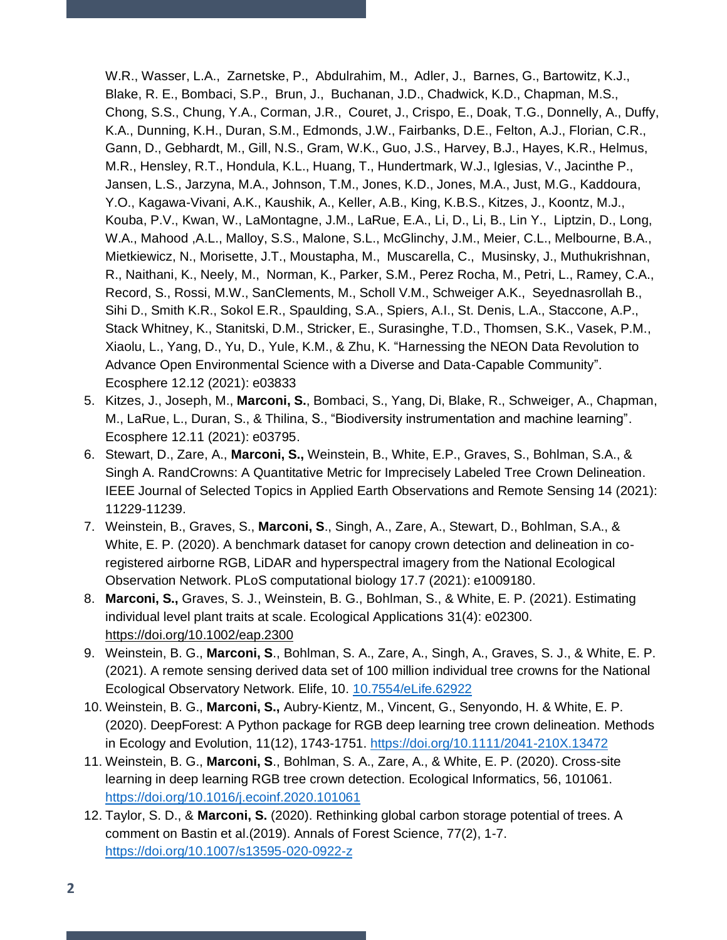W.R., Wasser, L.A., Zarnetske, P., Abdulrahim, M., Adler, J., Barnes, G., Bartowitz, K.J., Blake, R. E., Bombaci, S.P., Brun, J., Buchanan, J.D., Chadwick, K.D., Chapman, M.S., Chong, S.S., Chung, Y.A., Corman, J.R., Couret, J., Crispo, E., Doak, T.G., Donnelly, A., Duffy, K.A., Dunning, K.H., Duran, S.M., Edmonds, J.W., Fairbanks, D.E., Felton, A.J., Florian, C.R., Gann, D., Gebhardt, M., Gill, N.S., Gram, W.K., Guo, J.S., Harvey, B.J., Hayes, K.R., Helmus, M.R., Hensley, R.T., Hondula, K.L., Huang, T., Hundertmark, W.J., Iglesias, V., Jacinthe P., Jansen, L.S., Jarzyna, M.A., Johnson, T.M., Jones, K.D., Jones, M.A., Just, M.G., Kaddoura, Y.O., Kagawa-Vivani, A.K., Kaushik, A., Keller, A.B., King, K.B.S., Kitzes, J., Koontz, M.J., Kouba, P.V., Kwan, W., LaMontagne, J.M., LaRue, E.A., Li, D., Li, B., Lin Y., Liptzin, D., Long, W.A., Mahood ,A.L., Malloy, S.S., Malone, S.L., McGlinchy, J.M., Meier, C.L., Melbourne, B.A., Mietkiewicz, N., Morisette, J.T., Moustapha, M., Muscarella, C., Musinsky, J., Muthukrishnan, R., Naithani, K., Neely, M., Norman, K., Parker, S.M., Perez Rocha, M., Petri, L., Ramey, C.A., Record, S., Rossi, M.W., SanClements, M., Scholl V.M., Schweiger A.K., Seyednasrollah B., Sihi D., Smith K.R., Sokol E.R., Spaulding, S.A., Spiers, A.I., St. Denis, L.A., Staccone, A.P., Stack Whitney, K., Stanitski, D.M., Stricker, E., Surasinghe, T.D., Thomsen, S.K., Vasek, P.M., Xiaolu, L., Yang, D., Yu, D., Yule, K.M., & Zhu, K. "Harnessing the NEON Data Revolution to Advance Open Environmental Science with a Diverse and Data-Capable Community". Ecosphere 12.12 (2021): e03833

- 5. Kitzes, J., Joseph, M., **Marconi, S.**, Bombaci, S., Yang, Di, Blake, R., Schweiger, A., Chapman, M., LaRue, L., Duran, S., & Thilina, S., "Biodiversity instrumentation and machine learning". Ecosphere 12.11 (2021): e03795.
- 6. Stewart, D., Zare, A., **Marconi, S.,** Weinstein, B., White, E.P., Graves, S., Bohlman, S.A., & Singh A. RandCrowns: A Quantitative Metric for Imprecisely Labeled Tree Crown Delineation. IEEE Journal of Selected Topics in Applied Earth Observations and Remote Sensing 14 (2021): 11229-11239.
- 7. Weinstein, B., Graves, S., **Marconi, S**., Singh, A., Zare, A., Stewart, D., Bohlman, S.A., & White, E. P. (2020). A benchmark dataset for canopy crown detection and delineation in coregistered airborne RGB, LiDAR and hyperspectral imagery from the National Ecological Observation Network. PLoS computational biology 17.7 (2021): e1009180.
- 8. **Marconi, S.,** Graves, S. J., Weinstein, B. G., Bohlman, S., & White, E. P. (2021). Estimating individual level plant traits at scale. Ecological Applications 31(4): e02300. <https://doi.org/10.1002/eap.2300>
- 9. Weinstein, B. G., **Marconi, S**., Bohlman, S. A., Zare, A., Singh, A., Graves, S. J., & White, E. P. (2021). A remote sensing derived data set of 100 million individual tree crowns for the National Ecological Observatory Network. Elife, 10. [10.7554/eLife.62922](/Volumes/Athena/BackUps/Nov2021/actualBKUP/Others/10.7554/eLife.62922)
- 10. Weinstein, B. G., **Marconi, S.,** Aubry‐Kientz, M., Vincent, G., Senyondo, H. & White, E. P. (2020). DeepForest: A Python package for RGB deep learning tree crown delineation. Methods in Ecology and Evolution, 11(12), 1743-1751.<https://doi.org/10.1111/2041-210X.13472>
- 11. Weinstein, B. G., **Marconi, S**., Bohlman, S. A., Zare, A., & White, E. P. (2020). Cross-site learning in deep learning RGB tree crown detection. Ecological Informatics, 56, 101061. <https://doi.org/10.1016/j.ecoinf.2020.101061>
- 12. Taylor, S. D., & **Marconi, S.** (2020). Rethinking global carbon storage potential of trees. A comment on Bastin et al.(2019). Annals of Forest Science, 77(2), 1-7. <https://doi.org/10.1007/s13595-020-0922-z>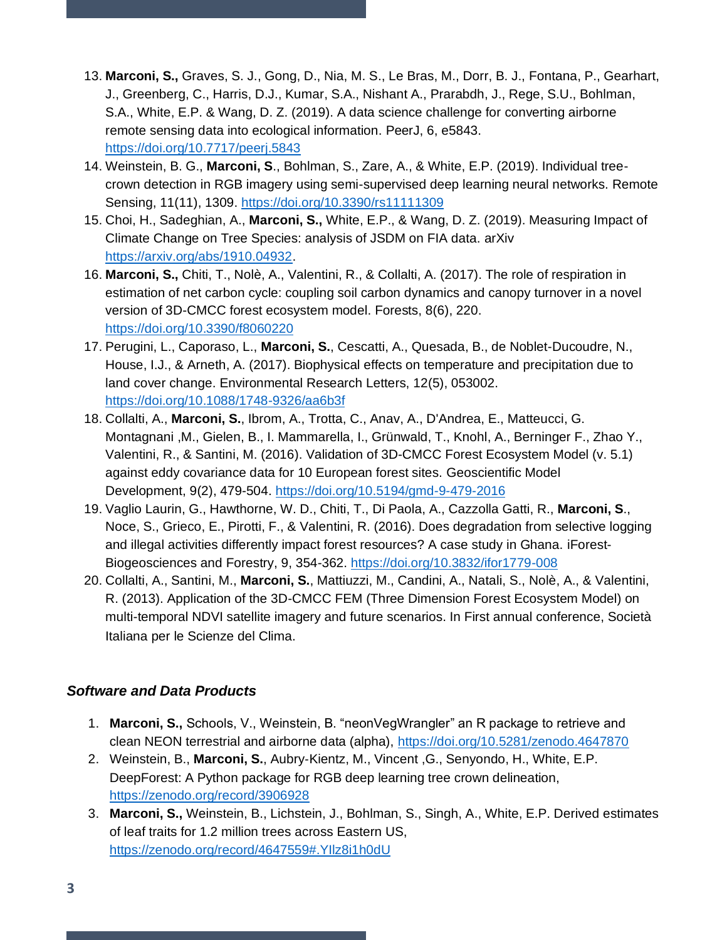- 13. **Marconi, S.,** Graves, S. J., Gong, D., Nia, M. S., Le Bras, M., Dorr, B. J., Fontana, P., Gearhart, J., Greenberg, C., Harris, D.J., Kumar, S.A., Nishant A., Prarabdh, J., Rege, S.U., Bohlman, S.A., White, E.P. & Wang, D. Z. (2019). A data science challenge for converting airborne remote sensing data into ecological information. PeerJ, 6, e5843. <https://doi.org/10.7717/peerj.5843>
- 14. Weinstein, B. G., **Marconi, S**., Bohlman, S., Zare, A., & White, E.P. (2019). Individual treecrown detection in RGB imagery using semi-supervised deep learning neural networks. Remote Sensing, 11(11), 1309.<https://doi.org/10.3390/rs11111309>
- 15. Choi, H., Sadeghian, A., **Marconi, S.,** White, E.P., & Wang, D. Z. (2019). Measuring Impact of Climate Change on Tree Species: analysis of JSDM on FIA data. arXiv [https://arxiv.org/abs/1910.04932.](https://arxiv.org/abs/1910.04932)
- 16. **Marconi, S.,** Chiti, T., Nolè, A., Valentini, R., & Collalti, A. (2017). The role of respiration in estimation of net carbon cycle: coupling soil carbon dynamics and canopy turnover in a novel version of 3D-CMCC forest ecosystem model. Forests, 8(6), 220. <https://doi.org/10.3390/f8060220>
- 17. Perugini, L., Caporaso, L., **Marconi, S.**, Cescatti, A., Quesada, B., de Noblet-Ducoudre, N., House, I.J., & Arneth, A. (2017). Biophysical effects on temperature and precipitation due to land cover change. Environmental Research Letters, 12(5), 053002. <https://doi.org/10.1088/1748-9326/aa6b3f>
- 18. Collalti, A., **Marconi, S.**, Ibrom, A., Trotta, C., Anav, A., D'Andrea, E., Matteucci, G. Montagnani ,M., Gielen, B., I. Mammarella, I., Grünwald, T., Knohl, A., Berninger F., Zhao Y., Valentini, R., & Santini, M. (2016). Validation of 3D-CMCC Forest Ecosystem Model (v. 5.1) against eddy covariance data for 10 European forest sites. Geoscientific Model Development, 9(2), 479-504[. https://doi.org/10.5194/gmd-9-479-2016](https://doi.org/10.5194/gmd-9-479-2016)
- 19. Vaglio Laurin, G., Hawthorne, W. D., Chiti, T., Di Paola, A., Cazzolla Gatti, R., **Marconi, S**., Noce, S., Grieco, E., Pirotti, F., & Valentini, R. (2016). Does degradation from selective logging and illegal activities differently impact forest resources? A case study in Ghana. iForest-Biogeosciences and Forestry, 9, 354-362.<https://doi.org/10.3832/ifor1779-008>
- 20. Collalti, A., Santini, M., **Marconi, S.**, Mattiuzzi, M., Candini, A., Natali, S., Nolè, A., & Valentini, R. (2013). Application of the 3D-CMCC FEM (Three Dimension Forest Ecosystem Model) on multi-temporal NDVI satellite imagery and future scenarios. In First annual conference, Società Italiana per le Scienze del Clima.

# *Software and Data Products*

- 1. **Marconi, S.,** Schools, V., Weinstein, B. "neonVegWrangler" an R package to retrieve and clean NEON terrestrial and airborne data (alpha),<https://doi.org/10.5281/zenodo.4647870>
- 2. Weinstein, B., **Marconi, S.**, Aubry‐Kientz, M., Vincent ,G., Senyondo, H., White, E.P. DeepForest: A Python package for RGB deep learning tree crown delineation, <https://zenodo.org/record/3906928>
- 3. **Marconi, S.,** Weinstein, B., Lichstein, J., Bohlman, S., Singh, A., White, E.P. Derived estimates of leaf traits for 1.2 million trees across Eastern US, <https://zenodo.org/record/4647559#.YIlz8i1h0dU>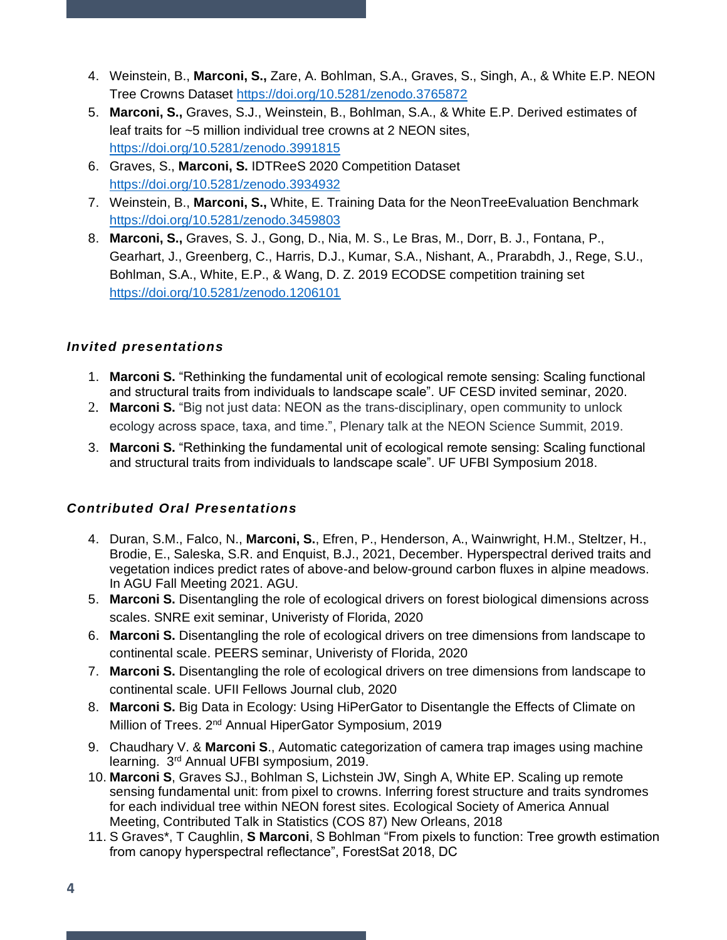- 4. Weinstein, B., **Marconi, S.,** Zare, A. Bohlman, S.A., Graves, S., Singh, A., & White E.P. NEON Tree Crowns Dataset<https://doi.org/10.5281/zenodo.3765872>
- 5. **Marconi, S.,** Graves, S.J., Weinstein, B., Bohlman, S.A., & White E.P. Derived estimates of leaf traits for ~5 million individual tree crowns at 2 NEON sites, <https://doi.org/10.5281/zenodo.3991815>
- 6. Graves, S., **Marconi, S.** IDTReeS 2020 Competition Dataset <https://doi.org/10.5281/zenodo.3934932>
- 7. Weinstein, B., **Marconi, S.,** White, E. Training Data for the NeonTreeEvaluation Benchmark <https://doi.org/10.5281/zenodo.3459803>
- 8. **Marconi, S.,** Graves, S. J., Gong, D., Nia, M. S., Le Bras, M., Dorr, B. J., Fontana, P., Gearhart, J., Greenberg, C., Harris, D.J., Kumar, S.A., Nishant, A., Prarabdh, J., Rege, S.U., Bohlman, S.A., White, E.P., & Wang, D. Z. 2019 ECODSE competition training set <https://doi.org/10.5281/zenodo.1206101>

# *Invited presentations*

- 1. **Marconi S.** "Rethinking the fundamental unit of ecological remote sensing: Scaling functional and structural traits from individuals to landscape scale". UF CESD invited seminar, 2020.
- 2. **Marconi S.** "Big not just data: NEON as the trans-disciplinary, open community to unlock ecology across space, taxa, and time.", Plenary talk at the NEON Science Summit, 2019.
- 3. **Marconi S.** "Rethinking the fundamental unit of ecological remote sensing: Scaling functional and structural traits from individuals to landscape scale". UF UFBI Symposium 2018.

# *Contributed Oral Presentations*

- 4. Duran, S.M., Falco, N., **Marconi, S.**, Efren, P., Henderson, A., Wainwright, H.M., Steltzer, H., Brodie, E., Saleska, S.R. and Enquist, B.J., 2021, December. Hyperspectral derived traits and vegetation indices predict rates of above-and below-ground carbon fluxes in alpine meadows. In AGU Fall Meeting 2021. AGU.
- 5. **Marconi S.** Disentangling the role of ecological drivers on forest biological dimensions across scales. SNRE exit seminar, Univeristy of Florida, 2020
- 6. **Marconi S.** Disentangling the role of ecological drivers on tree dimensions from landscape to continental scale. PEERS seminar, Univeristy of Florida, 2020
- 7. **Marconi S.** Disentangling the role of ecological drivers on tree dimensions from landscape to continental scale. UFII Fellows Journal club, 2020
- 8. **Marconi S.** Big Data in Ecology: Using HiPerGator to Disentangle the Effects of Climate on Million of Trees. 2<sup>nd</sup> Annual HiperGator Symposium, 2019
- 9. Chaudhary V. & **Marconi S**., Automatic categorization of camera trap images using machine learning. 3rd Annual UFBI symposium, 2019.
- 10. **Marconi S**, Graves SJ., Bohlman S, Lichstein JW, Singh A, White EP. Scaling up remote sensing fundamental unit: from pixel to crowns. Inferring forest structure and traits syndromes for each individual tree within NEON forest sites. Ecological Society of America Annual Meeting, Contributed Talk in Statistics (COS 87) New Orleans, 2018
- 11. S Graves\*, T Caughlin, **S Marconi**, S Bohlman "From pixels to function: Tree growth estimation from canopy hyperspectral reflectance", ForestSat 2018, DC